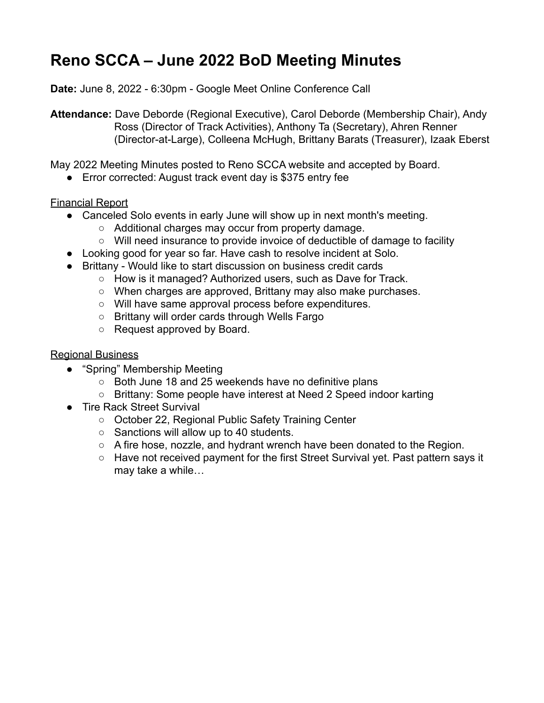## **Reno SCCA – June 2022 BoD Meeting Minutes**

**Date:** June 8, 2022 - 6:30pm - Google Meet Online Conference Call

**Attendance:** Dave Deborde (Regional Executive), Carol Deborde (Membership Chair), Andy Ross (Director of Track Activities), Anthony Ta (Secretary), Ahren Renner (Director-at-Large), Colleena McHugh, Brittany Barats (Treasurer), Izaak Eberst

May 2022 Meeting Minutes posted to Reno SCCA website and accepted by Board.

● Error corrected: August track event day is \$375 entry fee

## Financial Report

- Canceled Solo events in early June will show up in next month's meeting.
	- Additional charges may occur from property damage.
	- Will need insurance to provide invoice of deductible of damage to facility
- Looking good for year so far. Have cash to resolve incident at Solo.
- Brittany Would like to start discussion on business credit cards
	- How is it managed? Authorized users, such as Dave for Track.
	- When charges are approved, Brittany may also make purchases.
	- Will have same approval process before expenditures.
	- Brittany will order cards through Wells Fargo
	- Request approved by Board.

## Regional Business

- "Spring" Membership Meeting
	- Both June 18 and 25 weekends have no definitive plans
	- Brittany: Some people have interest at Need 2 Speed indoor karting
- Tire Rack Street Survival
	- October 22, Regional Public Safety Training Center
	- Sanctions will allow up to 40 students.
	- A fire hose, nozzle, and hydrant wrench have been donated to the Region.
	- Have not received payment for the first Street Survival yet. Past pattern says it may take a while…